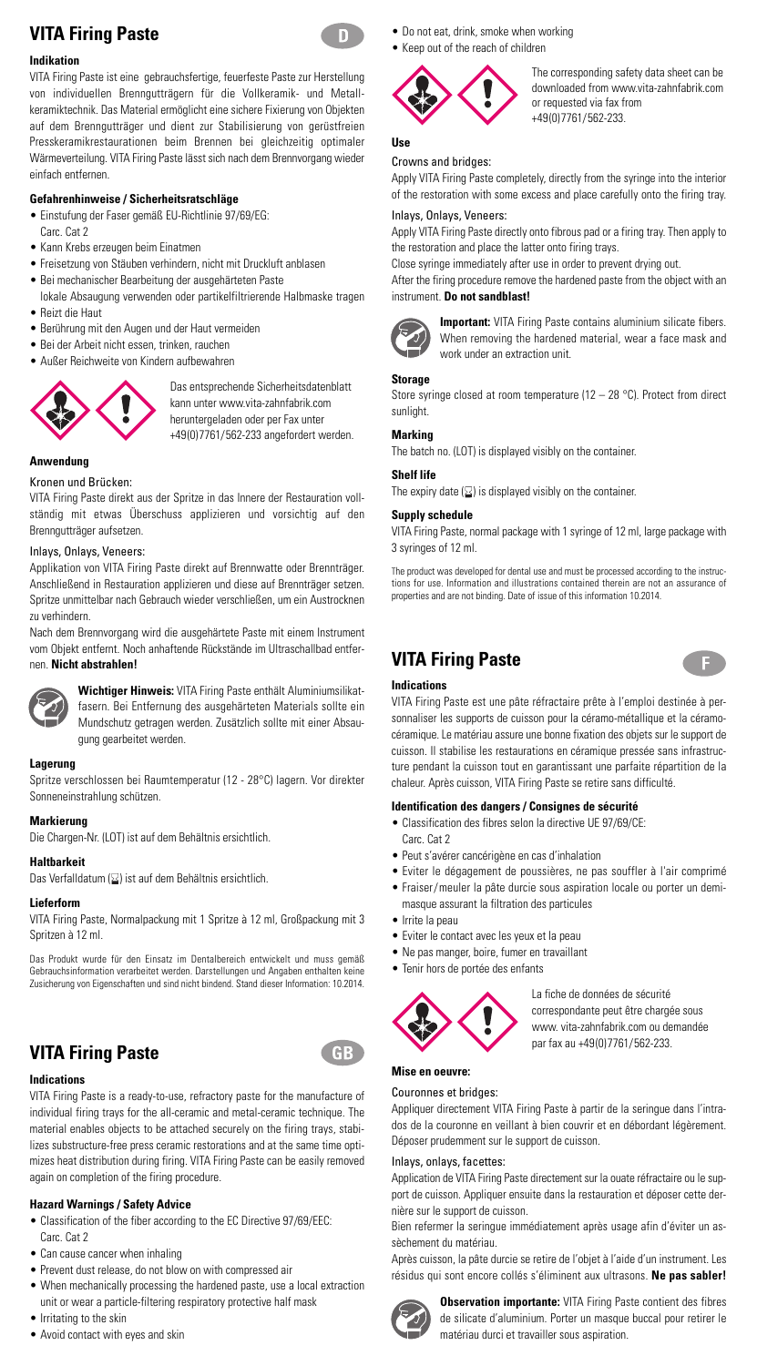# **VITA Firing Paste**

## **Indikation**

VITA Firing Paste ist eine gebrauchsfertige, feuerfeste Paste zur Herstellung von individuellen Brenngutträgern für die Vollkeramik- und Metallkeramiktechnik. Das Material ermöglicht eine sichere Fixierung von Objekten auf dem Brenngutträger und dient zur Stabilisierung von gerüstfreien Presskeramikrestaurationen beim Brennen bei gleichzeitig optimaler Wärmeverteilung. VITA Firing Paste lässt sich nach dem Brennvorgang wieder einfach entfernen.

## **Gefahrenhinweise / Sicherheitsratschläge**

- Einstufung der Faser gemäß EU-Richtlinie 97/69/EG:
- Carc. Cat 2
- Kann Krebs erzeugen beim Einatmen
- Freisetzung von Stäuben verhindern, nicht mit Druckluft anblasen
- Bei mechanischer Bearbeitung der ausgehärteten Paste lokale Absaugung verwenden oder partikelfiltrierende Halbmaske tragen • Reizt die Haut
- 
- Berührung mit den Augen und der Haut vermeiden
- Bei der Arbeit nicht essen, trinken, rauchen
- Außer Reichweite von Kindern aufbewahren



Das entsprechende Sicherheitsdatenblatt kann unter www.vita-zahnfabrik.com heruntergeladen oder per Fax unter +49(0)7761/562-233 angefordert werden.

## **Anwendung**

#### Kronen und Brücken:

VITA Firing Paste direkt aus der Spritze in das Innere der Restauration vollständig mit etwas Überschuss applizieren und vorsichtig auf den Brenngutträger aufsetzen.

#### Inlays, Onlays, Veneers:

Applikation von VITA Firing Paste direkt auf Brennwatte oder Brennträger. Anschließend in Restauration applizieren und diese auf Brennträger setzen. Spritze unmittelbar nach Gebrauch wieder verschließen, um ein Austrocknen zu verhindern.

Nach dem Brennvorgang wird die ausgehärtete Paste mit einem Instrument vom Objekt entfernt. Noch anhaftende Rückstände im Ultraschallbad entfernen. **Nicht abstrahlen!**



**Wichtiger Hinweis:** VITA Firing Paste enthält Aluminiumsilikatfasern. Bei Entfernung des ausgehärteten Materials sollte ein Mundschutz getragen werden. Zusätzlich sollte mit einer Absaugung gearbeitet werden.

#### **Lagerung**

Spritze verschlossen bei Raumtemperatur (12 - 28°C) lagern. Vor direkter Sonneneinstrahlung schützen.

#### **Markierung**

Die Chargen-Nr. (LOT) ist auf dem Behältnis ersichtlich.

#### **Haltbarkeit**

Das Verfalldatum  $\boxed{2}$ ) ist auf dem Behältnis ersichtlich.

#### **Lieferform**

VITA Firing Paste, Normalpackung mit 1 Spritze à 12 ml, Großpackung mit 3 Spritzen à 12 ml.

Das Produkt wurde für den Einsatz im Dentalbereich entwickelt und muss gemäß Gebrauchsinformation verarbeitet werden. Darstellungen und Angaben enthalten keine Zusicherung von Eigenschaften und sind nicht bindend. Stand dieser Information: 10.2014.

# **VITA Firing Paste**



VITA Firing Paste is a ready-to-use, refractory paste for the manufacture of individual firing trays for the all-ceramic and metal-ceramic technique. The material enables objects to be attached securely on the firing trays, stabilizes substructure-free press ceramic restorations and at the same time optimizes heat distribution during firing. VITA Firing Paste can be easily removed again on completion of the firing procedure.

## **Hazard Warnings / Safety Advice**

- Classification of the fiber according to the EC Directive 97/69/EEC: Carc. Cat 2
- Can cause cancer when inhaling
- Prevent dust release, do not blow on with compressed air
- When mechanically processing the hardened paste, use a local extraction unit or wear a particle-filtering respiratory protective half mask
- Irritating to the skin
- Avoid contact with eyes and skin
- Do not eat, drink, smoke when working
- Keep out of the reach of children



## **Use**

Crowns and bridges: Apply VITA Firing Paste completely, directly from the syringe into the interior of the restoration with some excess and place carefully onto the firing tray.

or requested via fax from +49(0)7761/562-233.

The corresponding safety data sheet can be downloaded from www.vita-zahnfabrik.com

#### Inlays, Onlays, Veneers:

Apply VITA Firing Paste directly onto fibrous pad or a firing tray. Then apply to the restoration and place the latter onto firing trays.

Close syringe immediately after use in order to prevent drying out.

After the firing procedure remove the hardened paste from the object with an instrument. **Do not sandblast!**



**Important:** VITA Firing Paste contains aluminium silicate fibers. When removing the hardened material, wear a face mask and work under an extraction unit.

## **Storage**

Store syringe closed at room temperature (12 – 28 °C). Protect from direct sunlight.

### **Marking**

The batch no. (LOT) is displayed visibly on the container.

#### **Shelf life**

The expiry date  $( \Sigma )$  is displayed visibly on the container.

## **Supply schedule**

VITA Firing Paste, normal package with 1 syringe of 12 ml, large package with 3 syringes of 12 ml.

The product was developed for dental use and must be processed according to the instruc-tions for use. Information and illustrations contained therein are not an assurance of properties and are not binding. Date of issue of this information 10.2014.

# **VITA Firing Paste**



## **Indications**

VITA Firing Paste est une pâte réfractaire prête à l'emploi destinée à personnaliser les supports de cuisson pour la céramo-métallique et la céramocéramique. Le matériau assure une bonne fixation des objets sur le support de cuisson. Il stabilise les restaurations en céramique pressée sans infrastructure pendant la cuisson tout en garantissant une parfaite répartition de la chaleur. Après cuisson, VITA Firing Paste se retire sans difficulté.

## **Identification des dangers / Consignes de sécurité**

- Classification des fibres selon la directive UE 97/69/CE: Carc. Cat 2
- Peut s'avérer cancérigène en cas d'inhalation
- Eviter le dégagement de poussières, ne pas souffler à l'air comprimé • Fraiser/meuler la pâte durcie sous aspiration locale ou porter un demi
	- masque assurant la filtration des particules
- Irrite la peau
- Eviter le contact avec les yeux et la peau
- Ne pas manger, boire, fumer en travaillant
- Tenir hors de portée des enfants



La fiche de données de sécurité correspondante peut être chargée sous www. vita-zahnfabrik.com ou demandée par fax au +49(0)7761/562-233.

# **Mise en oeuvre:**

 $GB$ 

### Couronnes et bridges:

Appliquer directement VITA Firing Paste à partir de la seringue dans l'intrados de la couronne en veillant à bien couvrir et en débordant légèrement. Déposer prudemment sur le support de cuisson.

## Inlays, onlays, facettes:

Application de VITA Firing Paste directement sur la ouate réfractaire ou le support de cuisson. Appliquer ensuite dans la restauration et déposer cette dernière sur le support de cuisson.

Bien refermer la seringue immédiatement après usage afin d'éviter un assèchement du matériau.

Après cuisson, la pâte durcie se retire de l'objet à l'aide d'un instrument. Les résidus qui sont encore collés s'éliminent aux ultrasons. **Ne pas sabler!**



**Observation importante:** VITA Firing Paste contient des fibres de silicate d'aluminium. Porter un masque buccal pour retirer le matériau durci et travailler sous aspiration.